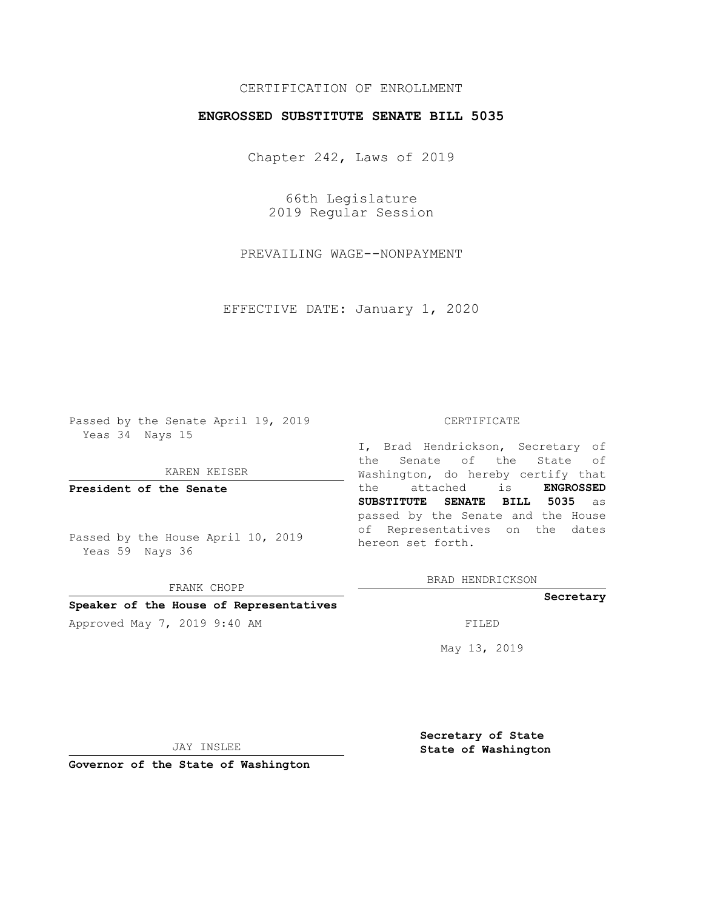### CERTIFICATION OF ENROLLMENT

### **ENGROSSED SUBSTITUTE SENATE BILL 5035**

Chapter 242, Laws of 2019

66th Legislature 2019 Regular Session

PREVAILING WAGE--NONPAYMENT

EFFECTIVE DATE: January 1, 2020

Passed by the Senate April 19, 2019 Yeas 34 Nays 15

KAREN KEISER

**President of the Senate**

Passed by the House April 10, 2019 Yeas 59 Nays 36

FRANK CHOPP

#### **Speaker of the House of Representatives**

Approved May 7, 2019 9:40 AM FILED

#### CERTIFICATE

I, Brad Hendrickson, Secretary of the Senate of the State of Washington, do hereby certify that the attached is **ENGROSSED SUBSTITUTE SENATE BILL 5035** as passed by the Senate and the House of Representatives on the dates hereon set forth.

BRAD HENDRICKSON

#### **Secretary**

May 13, 2019

JAY INSLEE

**Governor of the State of Washington**

**Secretary of State State of Washington**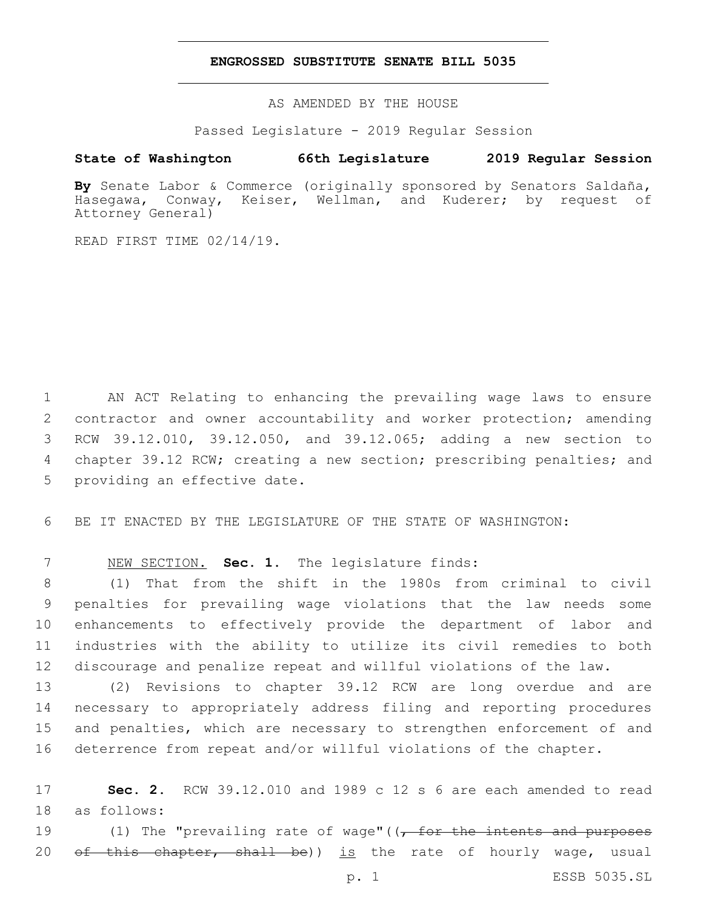### **ENGROSSED SUBSTITUTE SENATE BILL 5035**

AS AMENDED BY THE HOUSE

Passed Legislature - 2019 Regular Session

## **State of Washington 66th Legislature 2019 Regular Session**

**By** Senate Labor & Commerce (originally sponsored by Senators Saldaña, Hasegawa, Conway, Keiser, Wellman, and Kuderer; by request of Attorney General)

READ FIRST TIME 02/14/19.

 AN ACT Relating to enhancing the prevailing wage laws to ensure contractor and owner accountability and worker protection; amending RCW 39.12.010, 39.12.050, and 39.12.065; adding a new section to chapter 39.12 RCW; creating a new section; prescribing penalties; and 5 providing an effective date.

6 BE IT ENACTED BY THE LEGISLATURE OF THE STATE OF WASHINGTON:

# 7 NEW SECTION. **Sec. 1.** The legislature finds:

 (1) That from the shift in the 1980s from criminal to civil penalties for prevailing wage violations that the law needs some enhancements to effectively provide the department of labor and industries with the ability to utilize its civil remedies to both discourage and penalize repeat and willful violations of the law.

 (2) Revisions to chapter 39.12 RCW are long overdue and are necessary to appropriately address filing and reporting procedures and penalties, which are necessary to strengthen enforcement of and deterrence from repeat and/or willful violations of the chapter.

17 **Sec. 2.** RCW 39.12.010 and 1989 c 12 s 6 are each amended to read 18 as follows:

19 (1) The "prevailing rate of wage"((<del>, for the intents and purposes</del> 20 <del>of this chapter, shall be</del>)) is the rate of hourly wage, usual

p. 1 ESSB 5035.SL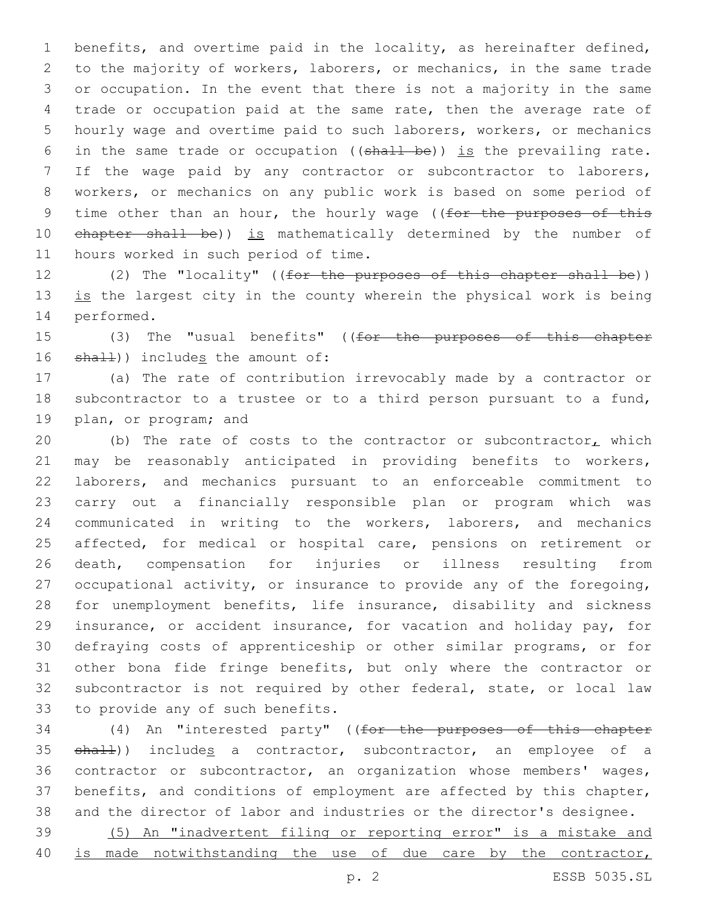benefits, and overtime paid in the locality, as hereinafter defined, to the majority of workers, laborers, or mechanics, in the same trade or occupation. In the event that there is not a majority in the same trade or occupation paid at the same rate, then the average rate of hourly wage and overtime paid to such laborers, workers, or mechanics 6 in the same trade or occupation (( $shall$  be)) is the prevailing rate. If the wage paid by any contractor or subcontractor to laborers, workers, or mechanics on any public work is based on some period of 9 time other than an hour, the hourly wage ((for the purposes of this 10 chapter shall be)) is mathematically determined by the number of 11 hours worked in such period of time.

12 (2) The "locality" ((for the purposes of this chapter shall be)) 13 is the largest city in the county wherein the physical work is being 14 performed.

15 (3) The "usual benefits" ((for the purposes of this chapter 16  $shall)$ ) includes the amount of:

 (a) The rate of contribution irrevocably made by a contractor or subcontractor to a trustee or to a third person pursuant to a fund, 19 plan, or program; and

20 (b) The rate of costs to the contractor or subcontractor<sub> $<sub>L</sub>$ </sub> which</sub> may be reasonably anticipated in providing benefits to workers, laborers, and mechanics pursuant to an enforceable commitment to carry out a financially responsible plan or program which was communicated in writing to the workers, laborers, and mechanics 25 affected, for medical or hospital care, pensions on retirement or death, compensation for injuries or illness resulting from occupational activity, or insurance to provide any of the foregoing, for unemployment benefits, life insurance, disability and sickness insurance, or accident insurance, for vacation and holiday pay, for defraying costs of apprenticeship or other similar programs, or for other bona fide fringe benefits, but only where the contractor or subcontractor is not required by other federal, state, or local law 33 to provide any of such benefits.

 (4) An "interested party" ((for the purposes of this chapter 35 shall)) includes a contractor, subcontractor, an employee of a contractor or subcontractor, an organization whose members' wages, benefits, and conditions of employment are affected by this chapter, and the director of labor and industries or the director's designee.

 (5) An "inadvertent filing or reporting error" is a mistake and is made notwithstanding the use of due care by the contractor,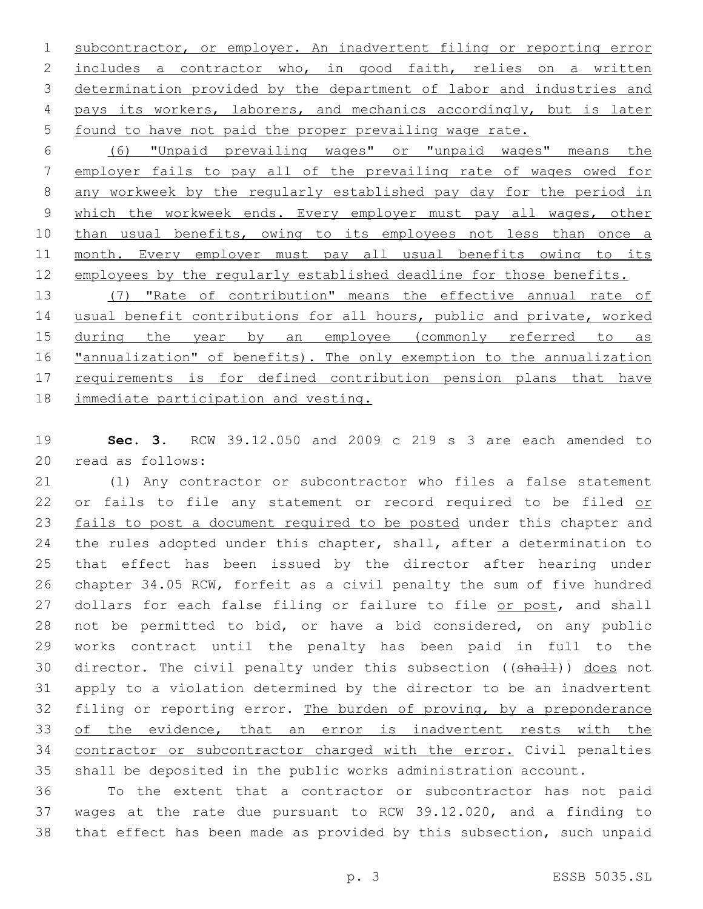subcontractor, or employer. An inadvertent filing or reporting error includes a contractor who, in good faith, relies on a written determination provided by the department of labor and industries and pays its workers, laborers, and mechanics accordingly, but is later found to have not paid the proper prevailing wage rate.

 (6) "Unpaid prevailing wages" or "unpaid wages" means the employer fails to pay all of the prevailing rate of wages owed for any workweek by the regularly established pay day for the period in 9 which the workweek ends. Every employer must pay all wages, other 10 than usual benefits, owing to its employees not less than once a month. Every employer must pay all usual benefits owing to its employees by the regularly established deadline for those benefits.

 (7) "Rate of contribution" means the effective annual rate of usual benefit contributions for all hours, public and private, worked 15 during the year by an employee (commonly referred to as **"annualization"** of benefits). The only exemption to the annualization 17 requirements is for defined contribution pension plans that have immediate participation and vesting.

 **Sec. 3.** RCW 39.12.050 and 2009 c 219 s 3 are each amended to 20 read as follows:

 (1) Any contractor or subcontractor who files a false statement 22 or fails to file any statement or record required to be filed or 23 fails to post a document required to be posted under this chapter and the rules adopted under this chapter, shall, after a determination to that effect has been issued by the director after hearing under chapter 34.05 RCW, forfeit as a civil penalty the sum of five hundred 27 dollars for each false filing or failure to file or post, and shall not be permitted to bid, or have a bid considered, on any public works contract until the penalty has been paid in full to the 30 director. The civil penalty under this subsection ((shall)) does not apply to a violation determined by the director to be an inadvertent filing or reporting error. The burden of proving, by a preponderance of the evidence, that an error is inadvertent rests with the contractor or subcontractor charged with the error. Civil penalties shall be deposited in the public works administration account.

 To the extent that a contractor or subcontractor has not paid wages at the rate due pursuant to RCW 39.12.020, and a finding to that effect has been made as provided by this subsection, such unpaid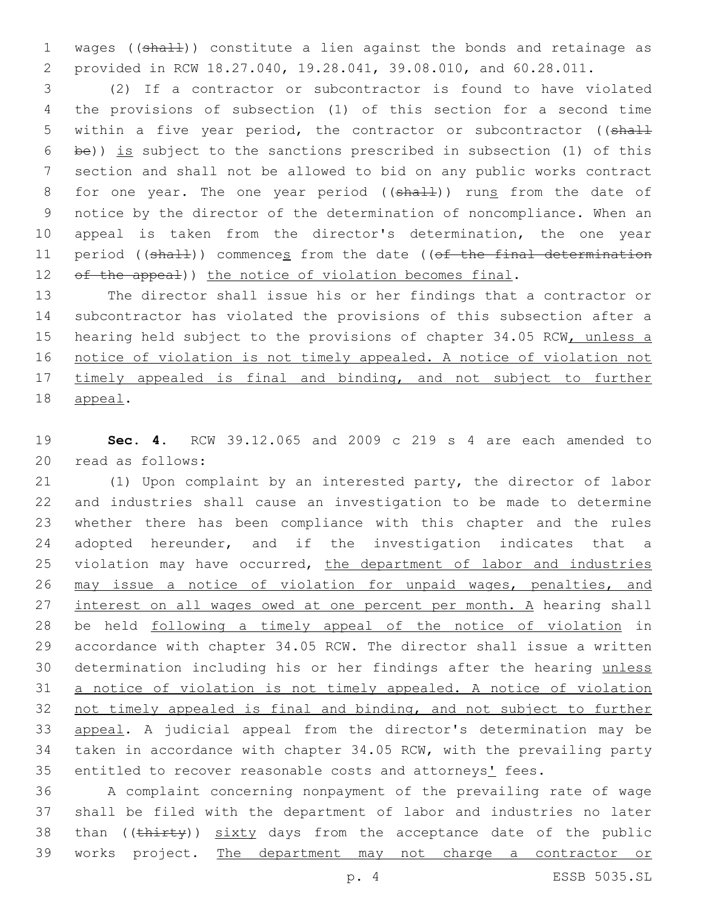1 wages ((shall)) constitute a lien against the bonds and retainage as provided in RCW 18.27.040, 19.28.041, 39.08.010, and 60.28.011.

 (2) If a contractor or subcontractor is found to have violated the provisions of subsection (1) of this section for a second time 5 within a five year period, the contractor or subcontractor ((shall be)) is subject to the sanctions prescribed in subsection (1) of this section and shall not be allowed to bid on any public works contract 8 for one year. The one year period ((shall)) runs from the date of notice by the director of the determination of noncompliance. When an appeal is taken from the director's determination, the one year 11 period ((shall)) commences from the date ((of the final determination 12 of the appeal)) the notice of violation becomes final.

 The director shall issue his or her findings that a contractor or subcontractor has violated the provisions of this subsection after a 15 hearing held subject to the provisions of chapter 34.05 RCW, unless a notice of violation is not timely appealed. A notice of violation not timely appealed is final and binding, and not subject to further 18 appeal.

 **Sec. 4.** RCW 39.12.065 and 2009 c 219 s 4 are each amended to 20 read as follows:

 (1) Upon complaint by an interested party, the director of labor and industries shall cause an investigation to be made to determine whether there has been compliance with this chapter and the rules 24 adopted hereunder, and if the investigation indicates that a 25 violation may have occurred, the department of labor and industries may issue a notice of violation for unpaid wages, penalties, and 27 interest on all wages owed at one percent per month. A hearing shall be held following a timely appeal of the notice of violation in accordance with chapter 34.05 RCW. The director shall issue a written determination including his or her findings after the hearing unless a notice of violation is not timely appealed. A notice of violation not timely appealed is final and binding, and not subject to further appeal. A judicial appeal from the director's determination may be taken in accordance with chapter 34.05 RCW, with the prevailing party 35 entitled to recover reasonable costs and attorneys' fees.

 A complaint concerning nonpayment of the prevailing rate of wage shall be filed with the department of labor and industries no later 38 than  $((\text{thirty}))$  sixty days from the acceptance date of the public works project. The department may not charge a contractor or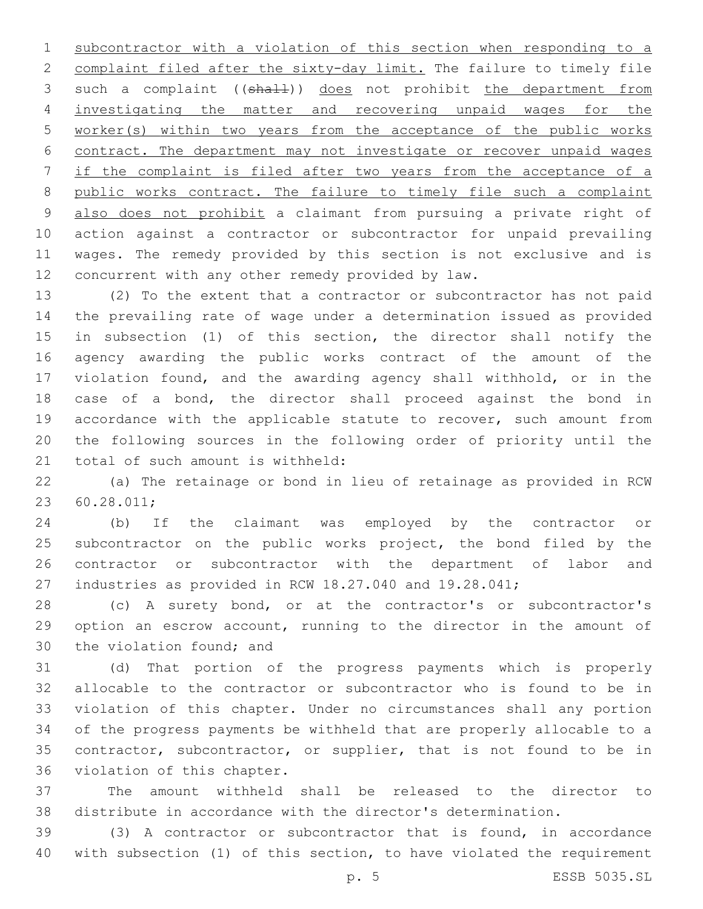subcontractor with a violation of this section when responding to a complaint filed after the sixty-day limit. The failure to timely file 3 such a complaint ((shall)) does not prohibit the department from investigating the matter and recovering unpaid wages for the worker(s) within two years from the acceptance of the public works contract. The department may not investigate or recover unpaid wages if the complaint is filed after two years from the acceptance of a public works contract. The failure to timely file such a complaint also does not prohibit a claimant from pursuing a private right of action against a contractor or subcontractor for unpaid prevailing wages. The remedy provided by this section is not exclusive and is 12 concurrent with any other remedy provided by law.

 (2) To the extent that a contractor or subcontractor has not paid the prevailing rate of wage under a determination issued as provided in subsection (1) of this section, the director shall notify the agency awarding the public works contract of the amount of the violation found, and the awarding agency shall withhold, or in the case of a bond, the director shall proceed against the bond in accordance with the applicable statute to recover, such amount from the following sources in the following order of priority until the 21 total of such amount is withheld:

 (a) The retainage or bond in lieu of retainage as provided in RCW 60.28.011;23

 (b) If the claimant was employed by the contractor or 25 subcontractor on the public works project, the bond filed by the contractor or subcontractor with the department of labor and industries as provided in RCW 18.27.040 and 19.28.041;

 (c) A surety bond, or at the contractor's or subcontractor's option an escrow account, running to the director in the amount of 30 the violation found; and

 (d) That portion of the progress payments which is properly allocable to the contractor or subcontractor who is found to be in violation of this chapter. Under no circumstances shall any portion of the progress payments be withheld that are properly allocable to a 35 contractor, subcontractor, or supplier, that is not found to be in 36 violation of this chapter.

 The amount withheld shall be released to the director to distribute in accordance with the director's determination.

 (3) A contractor or subcontractor that is found, in accordance with subsection (1) of this section, to have violated the requirement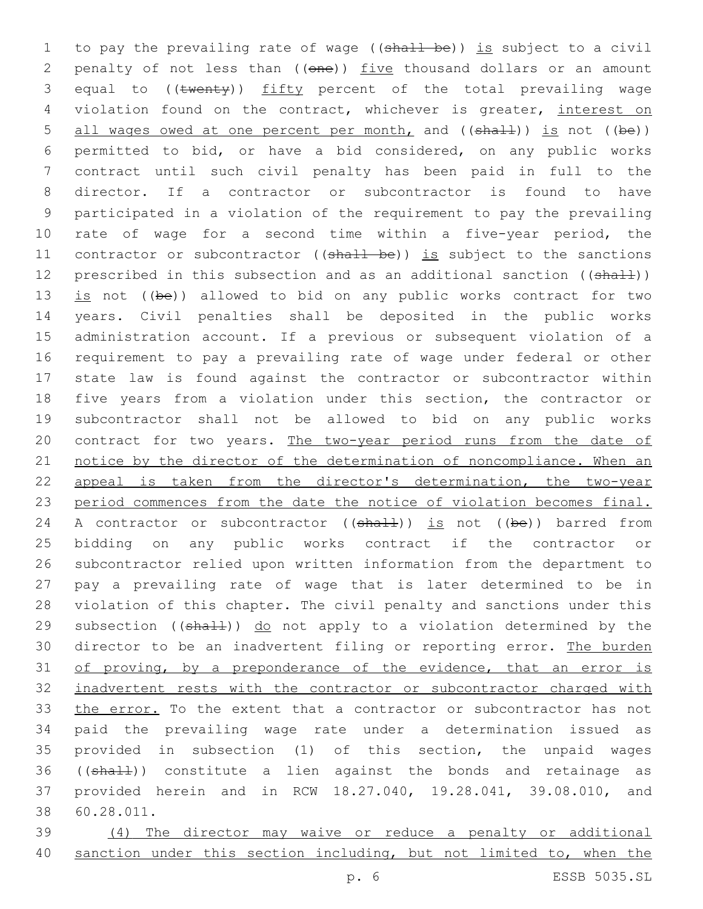1 to pay the prevailing rate of wage ((shall be)) is subject to a civil 2 penalty of not less than ((one)) five thousand dollars or an amount 3 equal to ((twenty)) fifty percent of the total prevailing wage 4 violation found on the contract, whichever is greater, interest on 5 all wages owed at one percent per month, and ((shall)) is not ((be)) permitted to bid, or have a bid considered, on any public works contract until such civil penalty has been paid in full to the director. If a contractor or subcontractor is found to have participated in a violation of the requirement to pay the prevailing rate of wage for a second time within a five-year period, the 11 contractor or subcontractor ((shall be)) is subject to the sanctions 12 prescribed in this subsection and as an additional sanction ((shall))  $is$  not ((be)) allowed to bid on any public works contract for two years. Civil penalties shall be deposited in the public works administration account. If a previous or subsequent violation of a requirement to pay a prevailing rate of wage under federal or other state law is found against the contractor or subcontractor within five years from a violation under this section, the contractor or subcontractor shall not be allowed to bid on any public works 20 contract for two years. The two-year period runs from the date of notice by the director of the determination of noncompliance. When an appeal is taken from the director's determination, the two-year period commences from the date the notice of violation becomes final. 24 A contractor or subcontractor  $((shaH))$  is not  $((be))$  barred from bidding on any public works contract if the contractor or subcontractor relied upon written information from the department to pay a prevailing rate of wage that is later determined to be in violation of this chapter. The civil penalty and sanctions under this 29 subsection ((shall)) do not apply to a violation determined by the 30 director to be an inadvertent filing or reporting error. The burden 31 of proving, by a preponderance of the evidence, that an error is 32 inadvertent rests with the contractor or subcontractor charged with the error. To the extent that a contractor or subcontractor has not paid the prevailing wage rate under a determination issued as provided in subsection (1) of this section, the unpaid wages 36 ((shall)) constitute a lien against the bonds and retainage as provided herein and in RCW 18.27.040, 19.28.041, 39.08.010, and 60.28.011.38

39 (4) The director may waive or reduce a penalty or additional 40 sanction under this section including, but not limited to, when the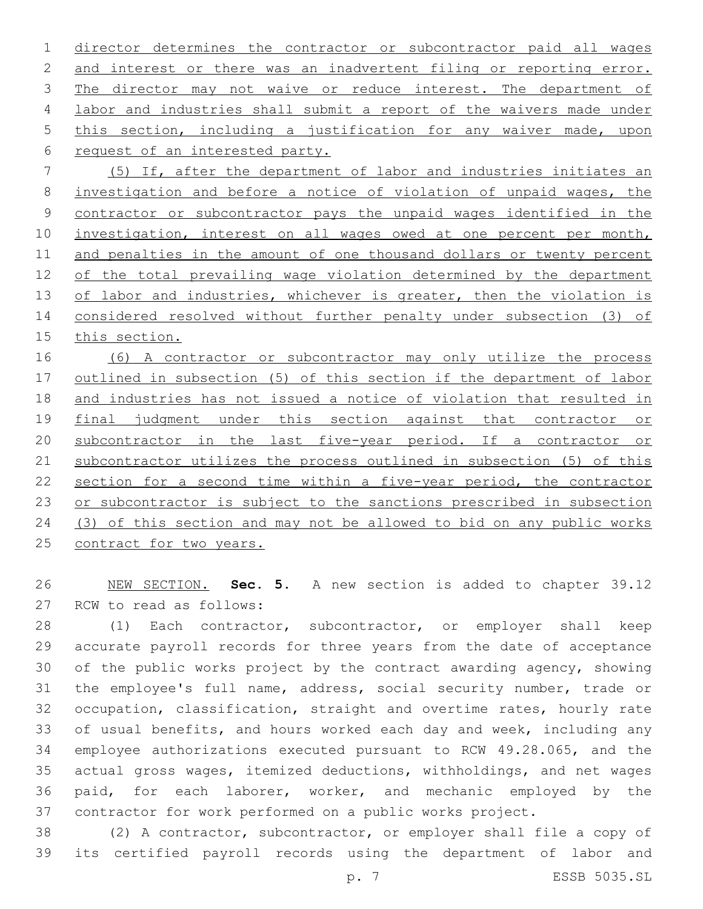director determines the contractor or subcontractor paid all wages 2 and interest or there was an inadvertent filing or reporting error. 3 The director may not waive or reduce interest. The department of labor and industries shall submit a report of the waivers made under this section, including a justification for any waiver made, upon 6 request of an interested party.

 (5) If, after the department of labor and industries initiates an investigation and before a notice of violation of unpaid wages, the contractor or subcontractor pays the unpaid wages identified in the investigation, interest on all wages owed at one percent per month, and penalties in the amount of one thousand dollars or twenty percent 12 of the total prevailing wage violation determined by the department 13 of labor and industries, whichever is greater, then the violation is considered resolved without further penalty under subsection (3) of this section.

 (6) A contractor or subcontractor may only utilize the process outlined in subsection (5) of this section if the department of labor and industries has not issued a notice of violation that resulted in 19 final judgment under this section against that contractor or subcontractor in the last five-year period. If a contractor or subcontractor utilizes the process outlined in subsection (5) of this section for a second time within a five-year period, the contractor 23 or subcontractor is subject to the sanctions prescribed in subsection (3) of this section and may not be allowed to bid on any public works 25 contract for two years.

 NEW SECTION. **Sec. 5.** A new section is added to chapter 39.12 27 RCW to read as follows:

 (1) Each contractor, subcontractor, or employer shall keep accurate payroll records for three years from the date of acceptance of the public works project by the contract awarding agency, showing the employee's full name, address, social security number, trade or occupation, classification, straight and overtime rates, hourly rate 33 of usual benefits, and hours worked each day and week, including any employee authorizations executed pursuant to RCW 49.28.065, and the actual gross wages, itemized deductions, withholdings, and net wages paid, for each laborer, worker, and mechanic employed by the contractor for work performed on a public works project.

 (2) A contractor, subcontractor, or employer shall file a copy of its certified payroll records using the department of labor and